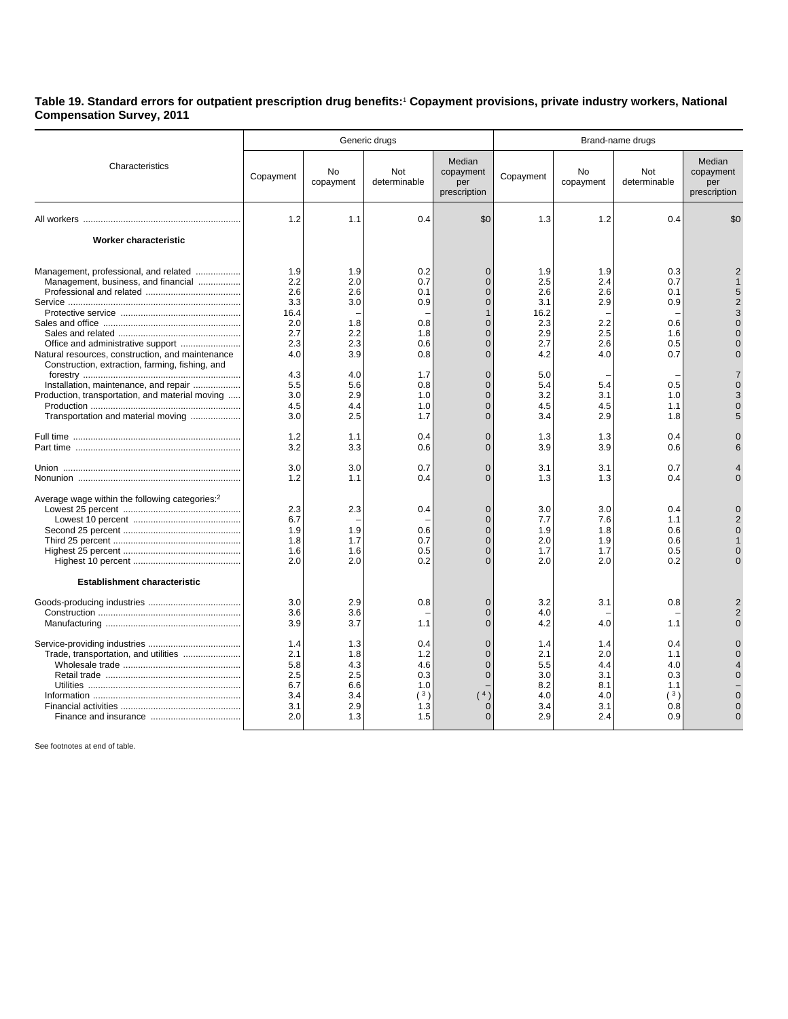## **Table 19. Standard errors for outpatient prescription drug benefits:**<sup>1</sup>  **Copayment provisions, private industry workers, National Compensation Survey, 2011**

|                                                                                                                                                                                                                                                                                                                       | Generic drugs                                                                                                        |                                                                                                              |                                                                                                              |                                                                                                                                                                                                                                                      | Brand-name drugs                                                                                                     |                                                                                                       |                                                                                                       |                                            |  |
|-----------------------------------------------------------------------------------------------------------------------------------------------------------------------------------------------------------------------------------------------------------------------------------------------------------------------|----------------------------------------------------------------------------------------------------------------------|--------------------------------------------------------------------------------------------------------------|--------------------------------------------------------------------------------------------------------------|------------------------------------------------------------------------------------------------------------------------------------------------------------------------------------------------------------------------------------------------------|----------------------------------------------------------------------------------------------------------------------|-------------------------------------------------------------------------------------------------------|-------------------------------------------------------------------------------------------------------|--------------------------------------------|--|
| Characteristics                                                                                                                                                                                                                                                                                                       | Copayment                                                                                                            | <b>No</b><br>copayment                                                                                       | Not<br>determinable                                                                                          | Median<br>copayment<br>per<br>prescription                                                                                                                                                                                                           | Copayment                                                                                                            | No<br>copayment                                                                                       | <b>Not</b><br>determinable                                                                            | Median<br>copayment<br>per<br>prescription |  |
|                                                                                                                                                                                                                                                                                                                       | 1.2                                                                                                                  | 1.1                                                                                                          | 0.4                                                                                                          | \$0                                                                                                                                                                                                                                                  | 1.3                                                                                                                  | 1.2                                                                                                   | 0.4                                                                                                   | \$0                                        |  |
| Worker characteristic                                                                                                                                                                                                                                                                                                 |                                                                                                                      |                                                                                                              |                                                                                                              |                                                                                                                                                                                                                                                      |                                                                                                                      |                                                                                                       |                                                                                                       |                                            |  |
| Management, professional, and related<br>Management, business, and financial<br>Natural resources, construction, and maintenance<br>Construction, extraction, farming, fishing, and<br>Installation, maintenance, and repair<br>Production, transportation, and material moving<br>Transportation and material moving | 1.9<br>2.2<br>2.6<br>3.3<br>16.4<br>2.0<br>2.7<br>2.3<br>4.0<br>4.3<br>5.5<br>3.0<br>4.5<br>3.0<br>1.2<br>3.2<br>3.0 | 1.9<br>2.0<br>2.6<br>3.0<br>1.8<br>2.2<br>2.3<br>3.9<br>4.0<br>5.6<br>2.9<br>4.4<br>2.5<br>1.1<br>3.3<br>3.0 | 0.2<br>0.7<br>0.1<br>0.9<br>0.8<br>1.8<br>0.6<br>0.8<br>1.7<br>0.8<br>1.0<br>1.0<br>1.7<br>0.4<br>0.6<br>0.7 | $\Omega$<br>$\mathbf{0}$<br>$\Omega$<br>$\Omega$<br>$\mathbf{1}$<br>$\overline{0}$<br>$\Omega$<br>$\Omega$<br>$\Omega$<br>$\mathbf{0}$<br>$\mathbf{0}$<br>$\overline{0}$<br>$\mathbf{0}$<br>$\overline{0}$<br>$\Omega$<br>$\Omega$<br>$\overline{0}$ | 1.9<br>2.5<br>2.6<br>3.1<br>16.2<br>2.3<br>2.9<br>2.7<br>4.2<br>5.0<br>5.4<br>3.2<br>4.5<br>3.4<br>1.3<br>3.9<br>3.1 | 1.9<br>2.4<br>2.6<br>2.9<br>2.2<br>2.5<br>2.6<br>4.0<br>5.4<br>3.1<br>4.5<br>2.9<br>1.3<br>3.9<br>3.1 | 0.3<br>0.7<br>0.1<br>0.9<br>0.6<br>1.6<br>0.5<br>0.7<br>0.5<br>1.0<br>1.1<br>1.8<br>0.4<br>0.6<br>0.7 | 5<br>$\mathcal{P}$<br>З                    |  |
| Average wage within the following categories: <sup>2</sup><br><b>Establishment characteristic</b>                                                                                                                                                                                                                     | 1.2<br>2.3<br>6.7<br>1.9<br>1.8<br>1.6<br>2.0                                                                        | 1.1<br>2.3<br>1.9<br>1.7<br>1.6<br>2.0                                                                       | 0.4<br>0.4<br>0.6<br>0.7<br>0.5<br>0.2                                                                       | $\Omega$<br>$\mathbf{0}$<br>$\Omega$<br>$\mathbf{0}$<br>$\overline{0}$<br>$\mathbf{0}$<br>$\overline{0}$                                                                                                                                             | 1.3<br>3.0<br>7.7<br>1.9<br>2.0<br>1.7<br>2.0                                                                        | 1.3<br>3.0<br>7.6<br>1.8<br>1.9<br>1.7<br>2.0                                                         | 0.4<br>0.4<br>1.1<br>0.6<br>0.6<br>0.5<br>0.2                                                         | U                                          |  |
| Trade, transportation, and utilities                                                                                                                                                                                                                                                                                  | 3.0<br>3.6<br>3.9<br>1.4<br>2.1<br>5.8                                                                               | 2.9<br>3.6<br>3.7<br>1.3<br>1.8<br>4.3                                                                       | 0.8<br>1.1<br>0.4<br>1.2<br>4.6                                                                              | $\Omega$<br>$\mathbf{0}$<br>$\Omega$<br>$\overline{0}$<br>$\Omega$<br>$\Omega$                                                                                                                                                                       | 3.2<br>4.0<br>4.2<br>1.4<br>2.1<br>5.5                                                                               | 3.1<br>4.0<br>1.4<br>2.0<br>4.4                                                                       | 0.8<br>1.1<br>0.4<br>1.1<br>4.0                                                                       | 2<br>$\overline{2}$                        |  |
|                                                                                                                                                                                                                                                                                                                       | 2.5<br>6.7<br>3.4<br>3.1<br>2.0                                                                                      | 2.5<br>6.6<br>3.4<br>2.9<br>1.3                                                                              | 0.3<br>1.0<br>(3)<br>1.3<br>1.5                                                                              | $\mathbf{0}$<br>(4)<br>0<br>U                                                                                                                                                                                                                        | 3.0<br>8.2<br>4.0<br>3.4<br>2.9                                                                                      | 3.1<br>8.1<br>4.0<br>3.1<br>2.4                                                                       | 0.3<br>1.1<br>(3)<br>0.8<br>0.9                                                                       | $\Omega$<br>$\Omega$                       |  |

See footnotes at end of table.